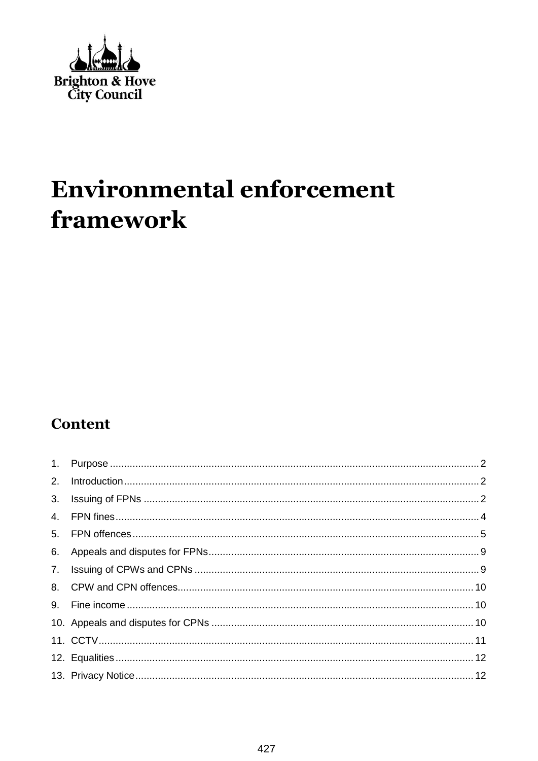

# **Environmental enforcement** framework

### **Content**

| 2. |  |
|----|--|
|    |  |
|    |  |
|    |  |
|    |  |
|    |  |
|    |  |
|    |  |
|    |  |
|    |  |
|    |  |
|    |  |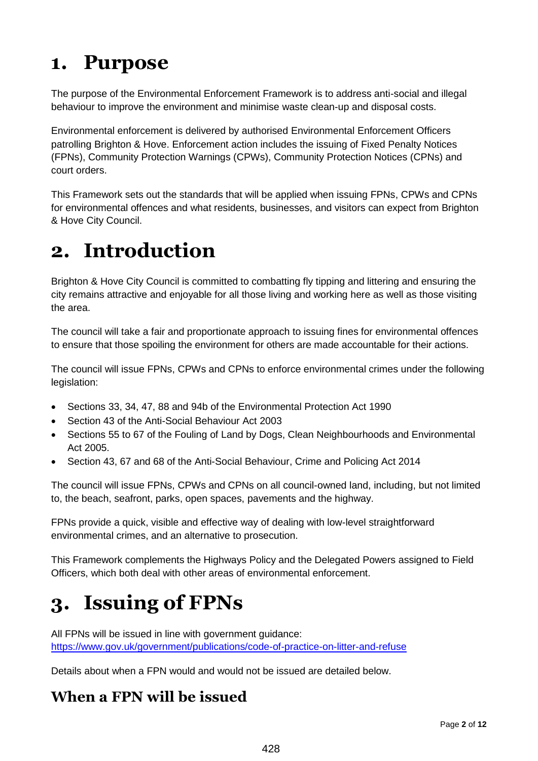## <span id="page-1-0"></span>**1. Purpose**

The purpose of the Environmental Enforcement Framework is to address anti-social and illegal behaviour to improve the environment and minimise waste clean-up and disposal costs.

Environmental enforcement is delivered by authorised Environmental Enforcement Officers patrolling Brighton & Hove. Enforcement action includes the issuing of Fixed Penalty Notices (FPNs), Community Protection Warnings (CPWs), Community Protection Notices (CPNs) and court orders.

This Framework sets out the standards that will be applied when issuing FPNs, CPWs and CPNs for environmental offences and what residents, businesses, and visitors can expect from Brighton & Hove City Council.

## <span id="page-1-1"></span>**2. Introduction**

Brighton & Hove City Council is committed to combatting fly tipping and littering and ensuring the city remains attractive and enjoyable for all those living and working here as well as those visiting the area.

The council will take a fair and proportionate approach to issuing fines for environmental offences to ensure that those spoiling the environment for others are made accountable for their actions.

The council will issue FPNs, CPWs and CPNs to enforce environmental crimes under the following legislation:

- Sections 33, 34, 47, 88 and 94b of the Environmental Protection Act 1990
- Section 43 of the Anti-Social Behaviour Act 2003
- Sections 55 to 67 of the Fouling of Land by Dogs, Clean Neighbourhoods and Environmental Act 2005.
- Section 43, 67 and 68 of the Anti-Social Behaviour, Crime and Policing Act 2014

The council will issue FPNs, CPWs and CPNs on all council-owned land, including, but not limited to, the beach, seafront, parks, open spaces, pavements and the highway.

FPNs provide a quick, visible and effective way of dealing with low-level straightforward environmental crimes, and an alternative to prosecution.

This Framework complements the Highways Policy and the Delegated Powers assigned to Field Officers, which both deal with other areas of environmental enforcement.

# <span id="page-1-2"></span>**3. Issuing of FPNs**

All FPNs will be issued in line with government guidance: <https://www.gov.uk/government/publications/code-of-practice-on-litter-and-refuse>

Details about when a FPN would and would not be issued are detailed below.

### **When a FPN will be issued**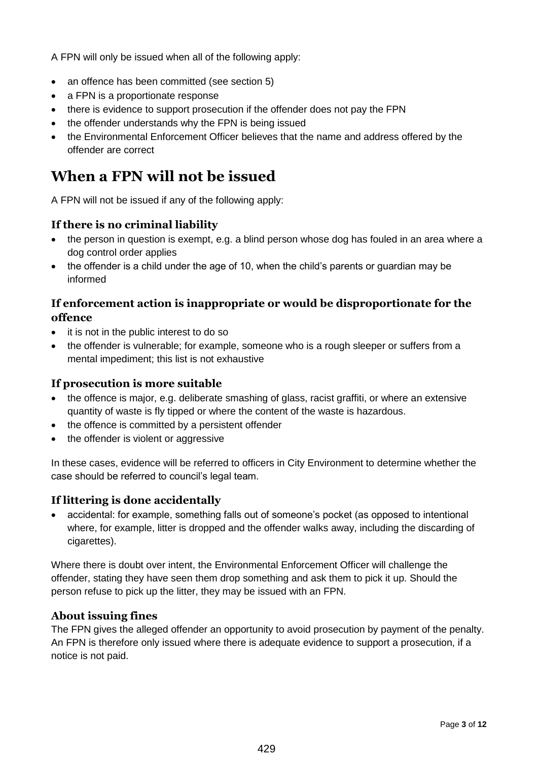A FPN will only be issued when all of the following apply:

- an offence has been committed (see section 5)
- a FPN is a proportionate response
- there is evidence to support prosecution if the offender does not pay the FPN
- the offender understands why the FPN is being issued
- the Environmental Enforcement Officer believes that the name and address offered by the offender are correct

#### **When a FPN will not be issued**

A FPN will not be issued if any of the following apply:

#### **If there is no criminal liability**

- the person in question is exempt, e.g. a blind person whose dog has fouled in an area where a dog control order applies
- the offender is a child under the age of 10, when the child's parents or guardian may be informed

#### **If enforcement action is inappropriate or would be disproportionate for the offence**

- it is not in the public interest to do so
- the offender is vulnerable; for example, someone who is a rough sleeper or suffers from a mental impediment; this list is not exhaustive

#### **If prosecution is more suitable**

- the offence is major, e.g. deliberate smashing of glass, racist graffiti, or where an extensive quantity of waste is fly tipped or where the content of the waste is hazardous.
- the offence is committed by a persistent offender
- the offender is violent or aggressive

In these cases, evidence will be referred to officers in City Environment to determine whether the case should be referred to council's legal team.

#### **If littering is done accidentally**

 accidental: for example, something falls out of someone's pocket (as opposed to intentional where, for example, litter is dropped and the offender walks away, including the discarding of cigarettes).

Where there is doubt over intent, the Environmental Enforcement Officer will challenge the offender, stating they have seen them drop something and ask them to pick it up. Should the person refuse to pick up the litter, they may be issued with an FPN.

#### **About issuing fines**

The FPN gives the alleged offender an opportunity to avoid prosecution by payment of the penalty. An FPN is therefore only issued where there is adequate evidence to support a prosecution, if a notice is not paid.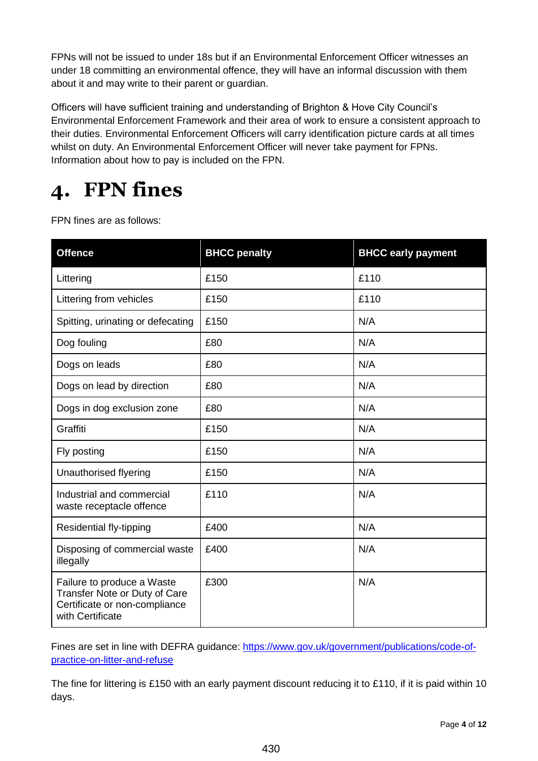FPNs will not be issued to under 18s but if an Environmental Enforcement Officer witnesses an under 18 committing an environmental offence, they will have an informal discussion with them about it and may write to their parent or guardian.

Officers will have sufficient training and understanding of Brighton & Hove City Council's Environmental Enforcement Framework and their area of work to ensure a consistent approach to their duties. Environmental Enforcement Officers will carry identification picture cards at all times whilst on duty. An Environmental Enforcement Officer will never take payment for FPNs. Information about how to pay is included on the FPN.

# <span id="page-3-0"></span>**4. FPN fines**

FPN fines are as follows:

| <b>Offence</b>                                                                                                   | <b>BHCC penalty</b> | <b>BHCC early payment</b> |
|------------------------------------------------------------------------------------------------------------------|---------------------|---------------------------|
| Littering                                                                                                        | £150                | £110                      |
| Littering from vehicles                                                                                          | £150                | £110                      |
| Spitting, urinating or defecating                                                                                | £150                | N/A                       |
| Dog fouling                                                                                                      | £80                 | N/A                       |
| Dogs on leads                                                                                                    | £80                 | N/A                       |
| Dogs on lead by direction                                                                                        | £80                 | N/A                       |
| Dogs in dog exclusion zone                                                                                       | £80                 | N/A                       |
| Graffiti                                                                                                         | £150                | N/A                       |
| Fly posting                                                                                                      | £150                | N/A                       |
| Unauthorised flyering                                                                                            | £150                | N/A                       |
| Industrial and commercial<br>waste receptacle offence                                                            | £110                | N/A                       |
| Residential fly-tipping                                                                                          | £400                | N/A                       |
| Disposing of commercial waste<br>illegally                                                                       | £400                | N/A                       |
| Failure to produce a Waste<br>Transfer Note or Duty of Care<br>Certificate or non-compliance<br>with Certificate | £300                | N/A                       |

Fines are set in line with DEFRA guidance: [https://www.gov.uk/government/publications/code-of](https://www.gov.uk/government/publications/code-of-practice-on-litter-and-refuse)[practice-on-litter-and-refuse](https://www.gov.uk/government/publications/code-of-practice-on-litter-and-refuse)

The fine for littering is £150 with an early payment discount reducing it to £110, if it is paid within 10 days.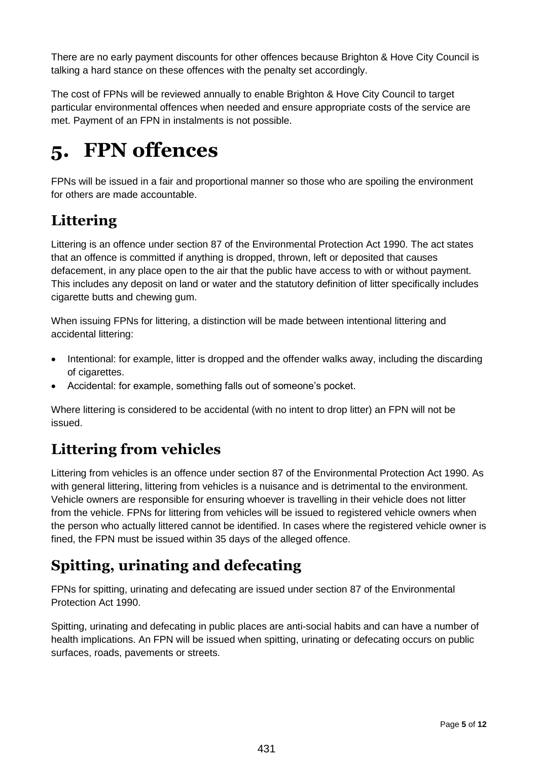There are no early payment discounts for other offences because Brighton & Hove City Council is talking a hard stance on these offences with the penalty set accordingly.

The cost of FPNs will be reviewed annually to enable Brighton & Hove City Council to target particular environmental offences when needed and ensure appropriate costs of the service are met. Payment of an FPN in instalments is not possible.

# <span id="page-4-0"></span>**5. FPN offences**

FPNs will be issued in a fair and proportional manner so those who are spoiling the environment for others are made accountable.

### **Littering**

Littering is an offence under section 87 of the Environmental Protection Act 1990. The act states that an offence is committed if anything is dropped, thrown, left or deposited that causes defacement, in any place open to the air that the public have access to with or without payment. This includes any deposit on land or water and the statutory definition of litter specifically includes cigarette butts and chewing gum.

When issuing FPNs for littering, a distinction will be made between intentional littering and accidental littering:

- Intentional: for example, litter is dropped and the offender walks away, including the discarding of cigarettes.
- Accidental: for example, something falls out of someone's pocket.

Where littering is considered to be accidental (with no intent to drop litter) an FPN will not be issued.

### **Littering from vehicles**

Littering from vehicles is an offence under section 87 of the Environmental Protection Act 1990. As with general littering, littering from vehicles is a nuisance and is detrimental to the environment. Vehicle owners are responsible for ensuring whoever is travelling in their vehicle does not litter from the vehicle. FPNs for littering from vehicles will be issued to registered vehicle owners when the person who actually littered cannot be identified. In cases where the registered vehicle owner is fined, the FPN must be issued within 35 days of the alleged offence.

### **Spitting, urinating and defecating**

FPNs for spitting, urinating and defecating are issued under section 87 of the Environmental Protection Act 1990.

Spitting, urinating and defecating in public places are anti-social habits and can have a number of health implications. An FPN will be issued when spitting, urinating or defecating occurs on public surfaces, roads, pavements or streets.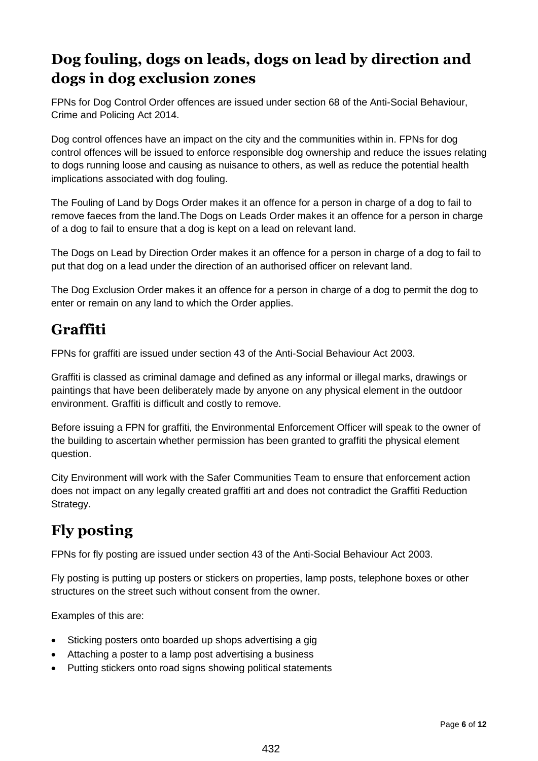### **Dog fouling, dogs on leads, dogs on lead by direction and dogs in dog exclusion zones**

FPNs for Dog Control Order offences are issued under section 68 of the Anti-Social Behaviour, Crime and Policing Act 2014.

Dog control offences have an impact on the city and the communities within in. FPNs for dog control offences will be issued to enforce responsible dog ownership and reduce the issues relating to dogs running loose and causing as nuisance to others, as well as reduce the potential health implications associated with dog fouling.

The Fouling of Land by Dogs Order makes it an offence for a person in charge of a dog to fail to remove faeces from the land.The Dogs on Leads Order makes it an offence for a person in charge of a dog to fail to ensure that a dog is kept on a lead on relevant land.

The Dogs on Lead by Direction Order makes it an offence for a person in charge of a dog to fail to put that dog on a lead under the direction of an authorised officer on relevant land.

The Dog Exclusion Order makes it an offence for a person in charge of a dog to permit the dog to enter or remain on any land to which the Order applies.

### **Graffiti**

FPNs for graffiti are issued under section 43 of the Anti-Social Behaviour Act 2003.

Graffiti is classed as criminal damage and defined as any informal or illegal marks, drawings or paintings that have been deliberately made by anyone on any physical element in the outdoor environment. Graffiti is difficult and costly to remove.

Before issuing a FPN for graffiti, the Environmental Enforcement Officer will speak to the owner of the building to ascertain whether permission has been granted to graffiti the physical element question.

City Environment will work with the Safer Communities Team to ensure that enforcement action does not impact on any legally created graffiti art and does not contradict the Graffiti Reduction Strategy.

### **Fly posting**

FPNs for fly posting are issued under section 43 of the Anti-Social Behaviour Act 2003.

Fly posting is putting up posters or stickers on properties, lamp posts, telephone boxes or other structures on the street such without consent from the owner.

Examples of this are:

- Sticking posters onto boarded up shops advertising a gig
- Attaching a poster to a lamp post advertising a business
- Putting stickers onto road signs showing political statements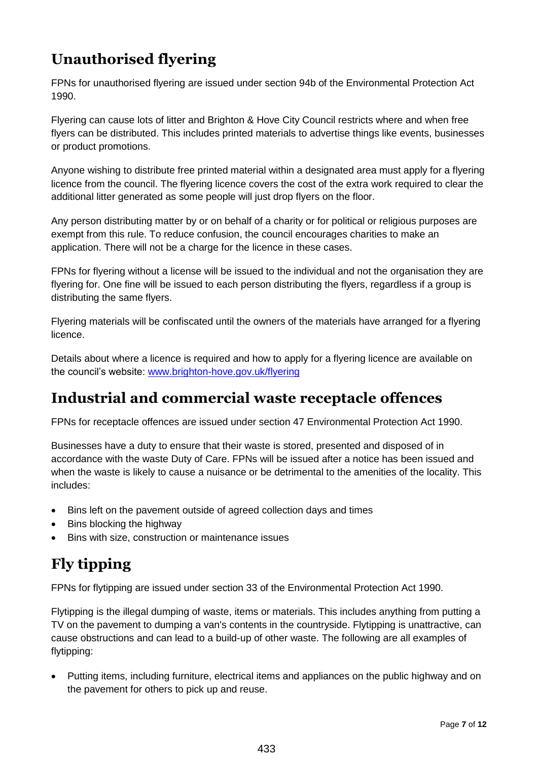### **Unauthorised flyering**

FPNs for unauthorised flyering are issued under section 94b of the Environmental Protection Act 1990.

Flyering can cause lots of litter and Brighton & Hove City Council restricts where and when free flyers can be distributed. This includes printed materials to advertise things like events, businesses or product promotions.

Anyone wishing to distribute free printed material within a designated area must apply for a flyering licence from the council. The flyering licence covers the cost of the extra work required to clear the additional litter generated as some people will just drop flyers on the floor.

Any person distributing matter by or on behalf of a charity or for political or religious purposes are exempt from this rule. To reduce confusion, the council encourages charities to make an application. There will not be a charge for the licence in these cases.

FPNs for flyering without a license will be issued to the individual and not the organisation they are flyering for. One fine will be issued to each person distributing the flyers, regardless if a group is distributing the same flyers.

Flyering materials will be confiscated until the owners of the materials have arranged for a flyering licence.

Details about where a licence is required and how to apply for a flyering licence are available on the council's website: [www.brighton-hove.gov.uk/flyering](http://www.brighton-hove.gov.uk/flyering)

#### **Industrial and commercial waste receptacle offences**

FPNs for receptacle offences are issued under section 47 Environmental Protection Act 1990.

Businesses have a duty to ensure that their waste is stored, presented and disposed of in accordance with the waste Duty of Care. FPNs will be issued after a notice has been issued and when the waste is likely to cause a nuisance or be detrimental to the amenities of the locality. This includes:

- Bins left on the pavement outside of agreed collection days and times
- Bins blocking the highway
- Bins with size, construction or maintenance issues

### **Fly tipping**

FPNs for flytipping are issued under section 33 of the Environmental Protection Act 1990.

Flytipping is the illegal dumping of waste, items or materials. This includes anything from putting a TV on the pavement to dumping a van's contents in the countryside. Flytipping is unattractive, can cause obstructions and can lead to a build-up of other waste. The following are all examples of flytipping:

 Putting items, including furniture, electrical items and appliances on the public highway and on the pavement for others to pick up and reuse.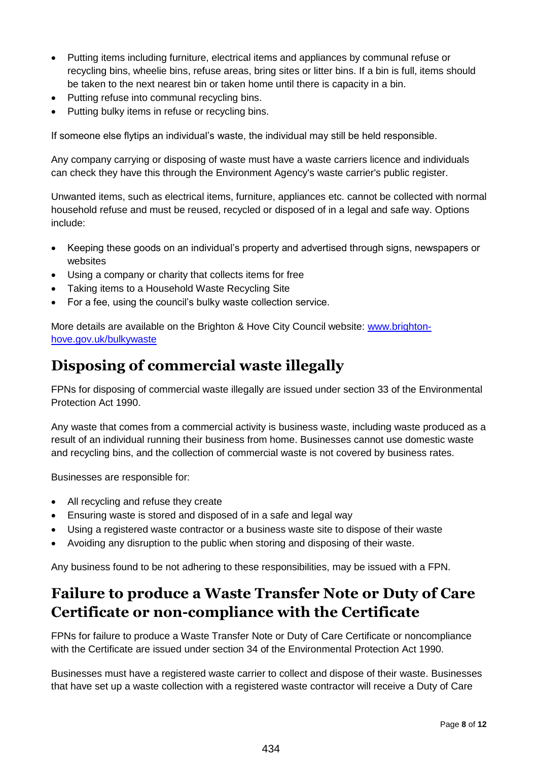- Putting items including furniture, electrical items and appliances by communal refuse or recycling bins, wheelie bins, refuse areas, bring sites or litter bins. If a bin is full, items should be taken to the next nearest bin or taken home until there is capacity in a bin.
- Putting refuse into communal recycling bins.
- Putting bulky items in refuse or recycling bins.

If someone else flytips an individual's waste, the individual may still be held responsible.

Any company carrying or disposing of waste must have a waste carriers licence and individuals can check they have this through the Environment Agency's waste carrier's public register.

Unwanted items, such as electrical items, furniture, appliances etc. cannot be collected with normal household refuse and must be reused, recycled or disposed of in a legal and safe way. Options include:

- Keeping these goods on an individual's property and advertised through signs, newspapers or websites
- Using a company or charity that collects items for free
- Taking items to a Household Waste Recycling Site
- For a fee, using the council's bulky waste collection service.

More details are available on the Brighton & Hove City Council website: [www.brighton](http://www.brighton-hove.gov.uk/bulkywaste)[hove.gov.uk/bulkywaste](http://www.brighton-hove.gov.uk/bulkywaste) 

### **Disposing of commercial waste illegally**

FPNs for disposing of commercial waste illegally are issued under section 33 of the Environmental Protection Act 1990.

Any waste that comes from a commercial activity is business waste, including waste produced as a result of an individual running their business from home. Businesses cannot use domestic waste and recycling bins, and the collection of commercial waste is not covered by business rates.

Businesses are responsible for:

- All recycling and refuse they create
- Ensuring waste is stored and disposed of in a safe and legal way
- Using a registered waste contractor or a business waste site to dispose of their waste
- Avoiding any disruption to the public when storing and disposing of their waste.

Any business found to be not adhering to these responsibilities, may be issued with a FPN.

### **Failure to produce a Waste Transfer Note or Duty of Care Certificate or non-compliance with the Certificate**

FPNs for failure to produce a Waste Transfer Note or Duty of Care Certificate or noncompliance with the Certificate are issued under section 34 of the Environmental Protection Act 1990.

Businesses must have a registered waste carrier to collect and dispose of their waste. Businesses that have set up a waste collection with a registered waste contractor will receive a Duty of Care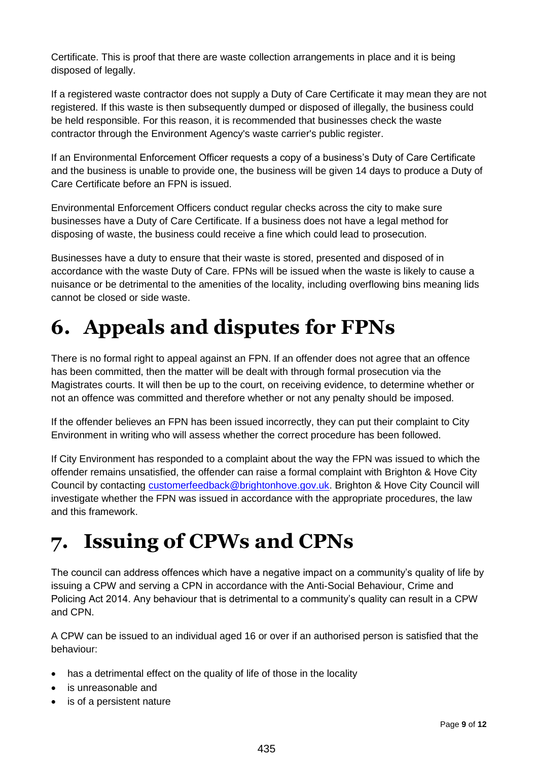Certificate. This is proof that there are waste collection arrangements in place and it is being disposed of legally.

If a registered waste contractor does not supply a Duty of Care Certificate it may mean they are not registered. If this waste is then subsequently dumped or disposed of illegally, the business could be held responsible. For this reason, it is recommended that businesses check the waste contractor through the Environment Agency's waste carrier's public register.

If an Environmental Enforcement Officer requests a copy of a business's Duty of Care Certificate and the business is unable to provide one, the business will be given 14 days to produce a Duty of Care Certificate before an FPN is issued.

Environmental Enforcement Officers conduct regular checks across the city to make sure businesses have a Duty of Care Certificate. If a business does not have a legal method for disposing of waste, the business could receive a fine which could lead to prosecution.

Businesses have a duty to ensure that their waste is stored, presented and disposed of in accordance with the waste Duty of Care. FPNs will be issued when the waste is likely to cause a nuisance or be detrimental to the amenities of the locality, including overflowing bins meaning lids cannot be closed or side waste.

# <span id="page-8-0"></span>**6. Appeals and disputes for FPNs**

There is no formal right to appeal against an FPN. If an offender does not agree that an offence has been committed, then the matter will be dealt with through formal prosecution via the Magistrates courts. It will then be up to the court, on receiving evidence, to determine whether or not an offence was committed and therefore whether or not any penalty should be imposed.

If the offender believes an FPN has been issued incorrectly, they can put their complaint to City Environment in writing who will assess whether the correct procedure has been followed.

If City Environment has responded to a complaint about the way the FPN was issued to which the offender remains unsatisfied, the offender can raise a formal complaint with Brighton & Hove City Council by contacting [customerfeedback@brightonhove.gov.uk.](mailto:customerfeedback@brightonhove.gov.uk) Brighton & Hove City Council will investigate whether the FPN was issued in accordance with the appropriate procedures, the law and this framework.

# <span id="page-8-1"></span>**7. Issuing of CPWs and CPNs**

The council can address offences which have a negative impact on a community's quality of life by issuing a CPW and serving a CPN in accordance with the Anti-Social Behaviour, Crime and Policing Act 2014. Any behaviour that is detrimental to a community's quality can result in a CPW and CPN.

A CPW can be issued to an individual aged 16 or over if an authorised person is satisfied that the behaviour:

- has a detrimental effect on the quality of life of those in the locality
- is unreasonable and
- is of a persistent nature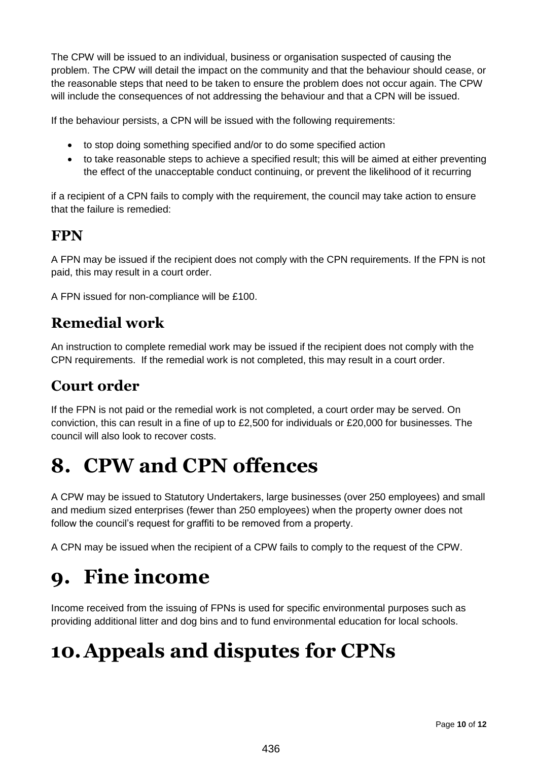The CPW will be issued to an individual, business or organisation suspected of causing the problem. The CPW will detail the impact on the community and that the behaviour should cease, or the reasonable steps that need to be taken to ensure the problem does not occur again. The CPW will include the consequences of not addressing the behaviour and that a CPN will be issued.

If the behaviour persists, a CPN will be issued with the following requirements:

- to stop doing something specified and/or to do some specified action
- to take reasonable steps to achieve a specified result; this will be aimed at either preventing the effect of the unacceptable conduct continuing, or prevent the likelihood of it recurring

if a recipient of a CPN fails to comply with the requirement, the council may take action to ensure that the failure is remedied:

### **FPN**

A FPN may be issued if the recipient does not comply with the CPN requirements. If the FPN is not paid, this may result in a court order.

A FPN issued for non-compliance will be £100.

#### **Remedial work**

An instruction to complete remedial work may be issued if the recipient does not comply with the CPN requirements. If the remedial work is not completed, this may result in a court order.

#### **Court order**

If the FPN is not paid or the remedial work is not completed, a court order may be served. On conviction, this can result in a fine of up to £2,500 for individuals or £20,000 for businesses. The council will also look to recover costs.

## <span id="page-9-0"></span>**8. CPW and CPN offences**

A CPW may be issued to Statutory Undertakers, large businesses (over 250 employees) and small and medium sized enterprises (fewer than 250 employees) when the property owner does not follow the council's request for graffiti to be removed from a property.

A CPN may be issued when the recipient of a CPW fails to comply to the request of the CPW.

## <span id="page-9-1"></span>**9. Fine income**

Income received from the issuing of FPNs is used for specific environmental purposes such as providing additional litter and dog bins and to fund environmental education for local schools.

# <span id="page-9-2"></span>**10.Appeals and disputes for CPNs**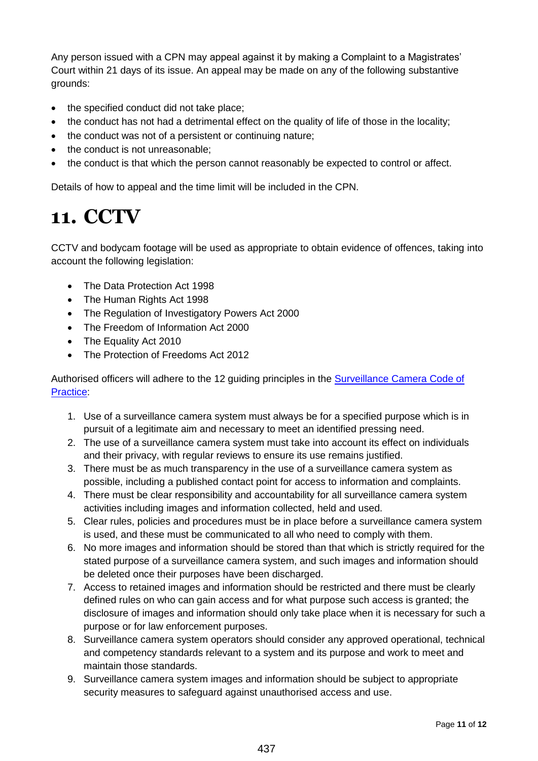Any person issued with a CPN may appeal against it by making a Complaint to a Magistrates' Court within 21 days of its issue. An appeal may be made on any of the following substantive grounds:

- the specified conduct did not take place:
- the conduct has not had a detrimental effect on the quality of life of those in the locality;
- the conduct was not of a persistent or continuing nature;
- the conduct is not unreasonable:
- the conduct is that which the person cannot reasonably be expected to control or affect.

Details of how to appeal and the time limit will be included in the CPN.

## <span id="page-10-0"></span>**11. CCTV**

CCTV and bodycam footage will be used as appropriate to obtain evidence of offences, taking into account the following legislation:

- The Data Protection Act 1998
- The Human Rights Act 1998
- The Regulation of Investigatory Powers Act 2000
- The Freedom of Information Act 2000
- The Equality Act 2010
- The Protection of Freedoms Act 2012

Authorised officers will adhere to the 12 guiding principles in the Surveillance Camera Code of [Practice:](https://www.gov.uk/government/publications/surveillance-camera-code-of-practice)

- 1. Use of a surveillance camera system must always be for a specified purpose which is in pursuit of a legitimate aim and necessary to meet an identified pressing need.
- 2. The use of a surveillance camera system must take into account its effect on individuals and their privacy, with regular reviews to ensure its use remains justified.
- 3. There must be as much transparency in the use of a surveillance camera system as possible, including a published contact point for access to information and complaints.
- 4. There must be clear responsibility and accountability for all surveillance camera system activities including images and information collected, held and used.
- 5. Clear rules, policies and procedures must be in place before a surveillance camera system is used, and these must be communicated to all who need to comply with them.
- 6. No more images and information should be stored than that which is strictly required for the stated purpose of a surveillance camera system, and such images and information should be deleted once their purposes have been discharged.
- 7. Access to retained images and information should be restricted and there must be clearly defined rules on who can gain access and for what purpose such access is granted; the disclosure of images and information should only take place when it is necessary for such a purpose or for law enforcement purposes.
- 8. Surveillance camera system operators should consider any approved operational, technical and competency standards relevant to a system and its purpose and work to meet and maintain those standards.
- 9. Surveillance camera system images and information should be subject to appropriate security measures to safeguard against unauthorised access and use.